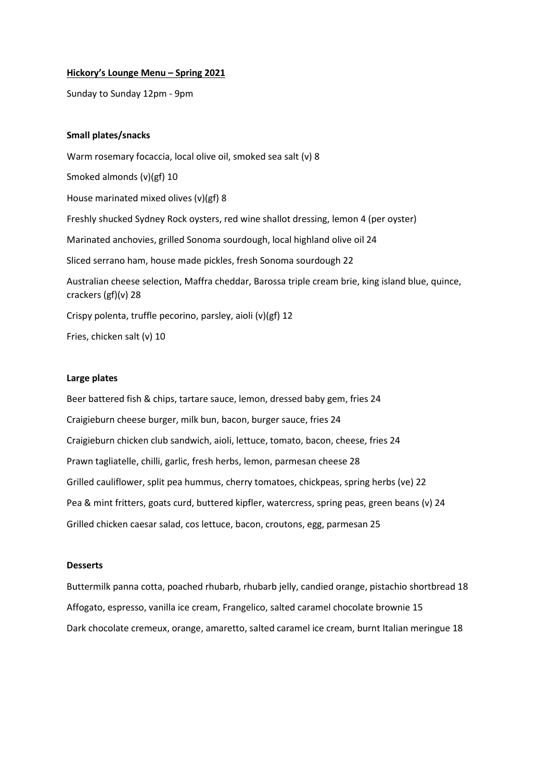#### **Hickory's Lounge Menu – Spring 2021**

Sunday to Sunday 12pm - 9pm

# **Small plates/snacks**

Warm rosemary focaccia, local olive oil, smoked sea salt (v) 8 Smoked almonds (v)(gf) 10 House marinated mixed olives (v)(gf) 8 Freshly shucked Sydney Rock oysters, red wine shallot dressing, lemon 4 (per oyster) Marinated anchovies, grilled Sonoma sourdough, local highland olive oil 24 Sliced serrano ham, house made pickles, fresh Sonoma sourdough 22 Australian cheese selection, Maffra cheddar, Barossa triple cream brie, king island blue, quince, crackers (gf)(v) 28 Crispy polenta, truffle pecorino, parsley, aioli (v)(gf) 12 Fries, chicken salt (v) 10

#### **Large plates**

Beer battered fish & chips, tartare sauce, lemon, dressed baby gem, fries 24 Craigieburn cheese burger, milk bun, bacon, burger sauce, fries 24 Craigieburn chicken club sandwich, aioli, lettuce, tomato, bacon, cheese, fries 24 Prawn tagliatelle, chilli, garlic, fresh herbs, lemon, parmesan cheese 28 Grilled cauliflower, split pea hummus, cherry tomatoes, chickpeas, spring herbs (ve) 22 Pea & mint fritters, goats curd, buttered kipfler, watercress, spring peas, green beans (v) 24 Grilled chicken caesar salad, cos lettuce, bacon, croutons, egg, parmesan 25

#### **Desserts**

Buttermilk panna cotta, poached rhubarb, rhubarb jelly, candied orange, pistachio shortbread 18 Affogato, espresso, vanilla ice cream, Frangelico, salted caramel chocolate brownie 15 Dark chocolate cremeux, orange, amaretto, salted caramel ice cream, burnt Italian meringue 18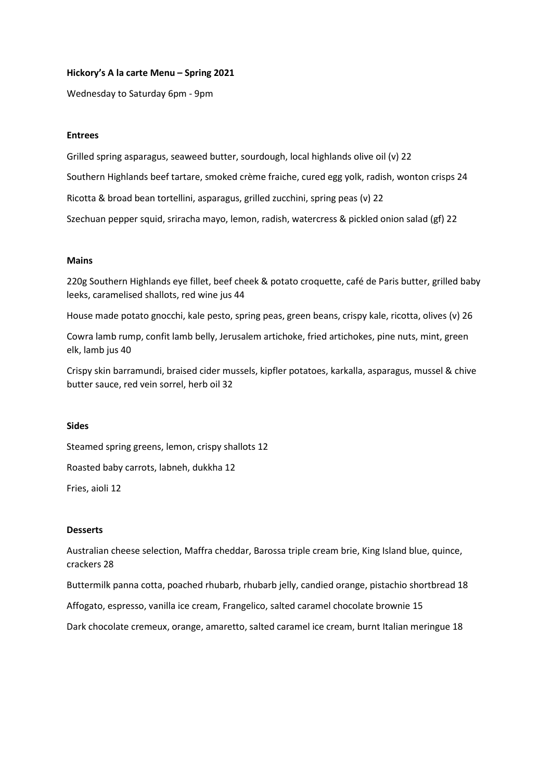# **Hickory's A la carte Menu – Spring 2021**

Wednesday to Saturday 6pm - 9pm

# **Entrees**

Grilled spring asparagus, seaweed butter, sourdough, local highlands olive oil (v) 22 Southern Highlands beef tartare, smoked crème fraiche, cured egg yolk, radish, wonton crisps 24 Ricotta & broad bean tortellini, asparagus, grilled zucchini, spring peas (v) 22 Szechuan pepper squid, sriracha mayo, lemon, radish, watercress & pickled onion salad (gf) 22

# **Mains**

220g Southern Highlands eye fillet, beef cheek & potato croquette, café de Paris butter, grilled baby leeks, caramelised shallots, red wine jus 44

House made potato gnocchi, kale pesto, spring peas, green beans, crispy kale, ricotta, olives (v) 26

Cowra lamb rump, confit lamb belly, Jerusalem artichoke, fried artichokes, pine nuts, mint, green elk, lamb jus 40

Crispy skin barramundi, braised cider mussels, kipfler potatoes, karkalla, asparagus, mussel & chive butter sauce, red vein sorrel, herb oil 32

#### **Sides**

Steamed spring greens, lemon, crispy shallots 12

Roasted baby carrots, labneh, dukkha 12

Fries, aioli 12

#### **Desserts**

Australian cheese selection, Maffra cheddar, Barossa triple cream brie, King Island blue, quince, crackers 28

Buttermilk panna cotta, poached rhubarb, rhubarb jelly, candied orange, pistachio shortbread 18

Affogato, espresso, vanilla ice cream, Frangelico, salted caramel chocolate brownie 15

Dark chocolate cremeux, orange, amaretto, salted caramel ice cream, burnt Italian meringue 18